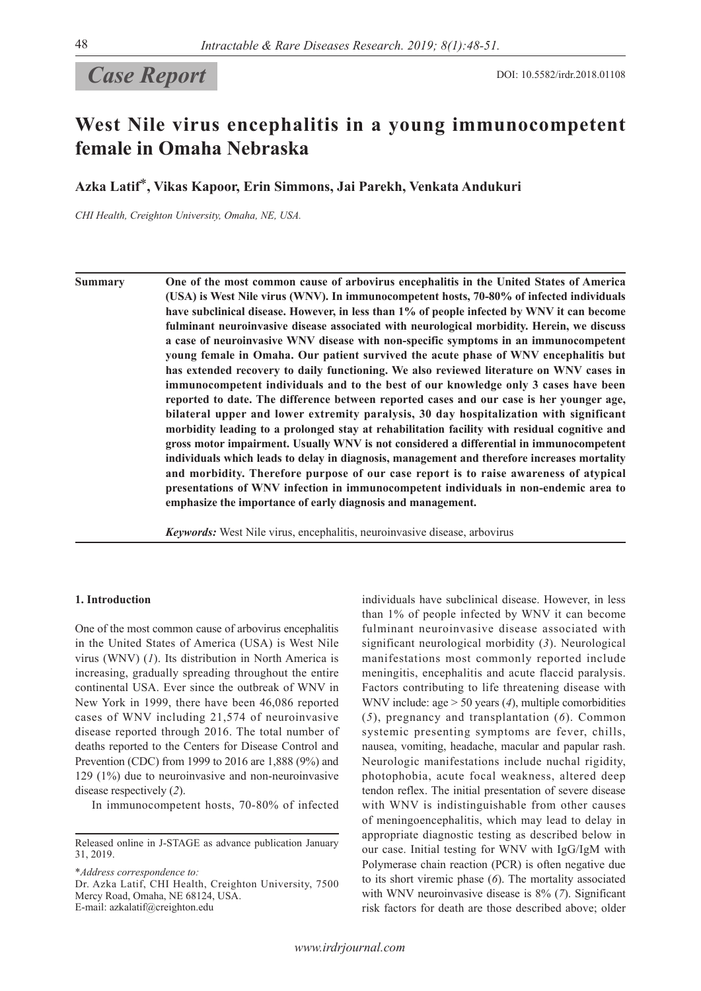# **Case Report** DOI: 10.5582/irdr.2018.01108

## **West Nile virus encephalitis in a young immunocompetent female in Omaha Nebraska**

**Azka Latif**\***, Vikas Kapoor, Erin Simmons, Jai Parekh, Venkata Andukuri**

*CHI Health, Creighton University, Omaha, NE, USA.*

**Summary One of the most common cause of arbovirus encephalitis in the United States of America (USA) is West Nile virus (WNV). In immunocompetent hosts, 70-80% of infected individuals have subclinical disease. However, in less than 1% of people infected by WNV it can become fulminant neuroinvasive disease associated with neurological morbidity. Herein, we discuss a case of neuroinvasive WNV disease with non-specific symptoms in an immunocompetent young female in Omaha. Our patient survived the acute phase of WNV encephalitis but has extended recovery to daily functioning. We also reviewed literature on WNV cases in immunocompetent individuals and to the best of our knowledge only 3 cases have been reported to date. The difference between reported cases and our case is her younger age, bilateral upper and lower extremity paralysis, 30 day hospitalization with significant morbidity leading to a prolonged stay at rehabilitation facility with residual cognitive and gross motor impairment. Usually WNV is not considered a differential in immunocompetent individuals which leads to delay in diagnosis, management and therefore increases mortality and morbidity. Therefore purpose of our case report is to raise awareness of atypical presentations of WNV infection in immunocompetent individuals in non-endemic area to emphasize the importance of early diagnosis and management.**

*Keywords:* West Nile virus, encephalitis, neuroinvasive disease, arbovirus

#### **1. Introduction**

One of the most common cause of arbovirus encephalitis in the United States of America (USA) is West Nile virus (WNV) (*1*). Its distribution in North America is increasing, gradually spreading throughout the entire continental USA. Ever since the outbreak of WNV in New York in 1999, there have been 46,086 reported cases of WNV including 21,574 of neuroinvasive disease reported through 2016. The total number of deaths reported to the Centers for Disease Control and Prevention (CDC) from 1999 to 2016 are 1,888 (9%) and 129 (1%) due to neuroinvasive and non-neuroinvasive disease respectively (*2*).

In immunocompetent hosts, 70-80% of infected

\**Address correspondence to:*

Dr. Azka Latif, CHI Health, Creighton University, 7500 Mercy Road, Omaha, NE 68124, USA. E-mail: azkalatif@creighton.edu

individuals have subclinical disease. However, in less than 1% of people infected by WNV it can become fulminant neuroinvasive disease associated with significant neurological morbidity (*3*). Neurological manifestations most commonly reported include meningitis, encephalitis and acute flaccid paralysis. Factors contributing to life threatening disease with WNV include: age > 50 years (*4*), multiple comorbidities (*5*), pregnancy and transplantation (*6*). Common systemic presenting symptoms are fever, chills, nausea, vomiting, headache, macular and papular rash. Neurologic manifestations include nuchal rigidity, photophobia, acute focal weakness, altered deep tendon reflex. The initial presentation of severe disease with WNV is indistinguishable from other causes of meningoencephalitis, which may lead to delay in appropriate diagnostic testing as described below in our case. Initial testing for WNV with IgG/IgM with Polymerase chain reaction (PCR) is often negative due to its short viremic phase (*6*). The mortality associated with WNV neuroinvasive disease is 8% (*7*). Significant risk factors for death are those described above; older

Released online in J-STAGE as advance publication January 31, 2019.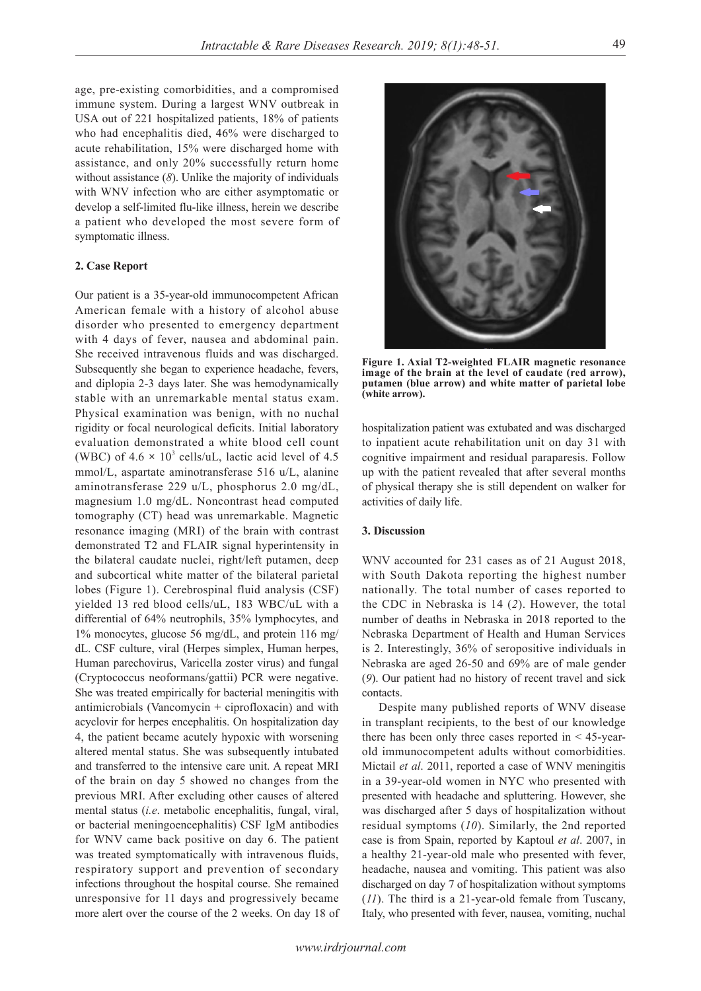age, pre-existing comorbidities, and a compromised immune system. During a largest WNV outbreak in USA out of 221 hospitalized patients, 18% of patients who had encephalitis died, 46% were discharged to acute rehabilitation, 15% were discharged home with assistance, and only 20% successfully return home without assistance (*8*). Unlike the majority of individuals with WNV infection who are either asymptomatic or develop a self-limited flu-like illness, herein we describe a patient who developed the most severe form of symptomatic illness.

#### **2. Case Report**

Our patient is a 35-year-old immunocompetent African American female with a history of alcohol abuse disorder who presented to emergency department with 4 days of fever, nausea and abdominal pain. She received intravenous fluids and was discharged. Subsequently she began to experience headache, fevers, and diplopia 2-3 days later. She was hemodynamically stable with an unremarkable mental status exam. Physical examination was benign, with no nuchal rigidity or focal neurological deficits. Initial laboratory evaluation demonstrated a white blood cell count (WBC) of  $4.6 \times 10^3$  cells/uL, lactic acid level of  $4.5$ mmol/L, aspartate aminotransferase 516 u/L, alanine aminotransferase 229 u/L, phosphorus 2.0 mg/dL, magnesium 1.0 mg/dL. Noncontrast head computed tomography (CT) head was unremarkable. Magnetic resonance imaging (MRI) of the brain with contrast demonstrated T2 and FLAIR signal hyperintensity in the bilateral caudate nuclei, right/left putamen, deep and subcortical white matter of the bilateral parietal lobes (Figure 1). Cerebrospinal fluid analysis (CSF) yielded 13 red blood cells/uL, 183 WBC/uL with a differential of 64% neutrophils, 35% lymphocytes, and 1% monocytes, glucose 56 mg/dL, and protein 116 mg/ dL. CSF culture, viral (Herpes simplex, Human herpes, Human parechovirus, Varicella zoster virus) and fungal (Cryptococcus neoformans/gattii) PCR were negative. She was treated empirically for bacterial meningitis with antimicrobials (Vancomycin + ciprofloxacin) and with acyclovir for herpes encephalitis. On hospitalization day 4, the patient became acutely hypoxic with worsening altered mental status. She was subsequently intubated and transferred to the intensive care unit. A repeat MRI of the brain on day 5 showed no changes from the previous MRI. After excluding other causes of altered mental status (*i.e*. metabolic encephalitis, fungal, viral, or bacterial meningoencephalitis) CSF IgM antibodies for WNV came back positive on day 6. The patient was treated symptomatically with intravenous fluids, respiratory support and prevention of secondary infections throughout the hospital course. She remained unresponsive for 11 days and progressively became more alert over the course of the 2 weeks. On day 18 of

**Figure 1. Axial T2-weighted FLAIR magnetic resonance image of the brain at the level of caudate (red arrow), putamen (blue arrow) and white matter of parietal lobe (white arrow).**

hospitalization patient was extubated and was discharged to inpatient acute rehabilitation unit on day 31 with cognitive impairment and residual paraparesis. Follow up with the patient revealed that after several months of physical therapy she is still dependent on walker for activities of daily life.

#### **3. Discussion**

WNV accounted for 231 cases as of 21 August 2018, with South Dakota reporting the highest number nationally. The total number of cases reported to the CDC in Nebraska is 14 (*2*). However, the total number of deaths in Nebraska in 2018 reported to the Nebraska Department of Health and Human Services is 2. Interestingly, 36% of seropositive individuals in Nebraska are aged 26-50 and 69% are of male gender (*9*). Our patient had no history of recent travel and sick contacts.

Despite many published reports of WNV disease in transplant recipients, to the best of our knowledge there has been only three cases reported in < 45-yearold immunocompetent adults without comorbidities. Mictail *et al*. 2011, reported a case of WNV meningitis in a 39-year-old women in NYC who presented with presented with headache and spluttering. However, she was discharged after 5 days of hospitalization without residual symptoms (*10*). Similarly, the 2nd reported case is from Spain, reported by Kaptoul *et al*. 2007, in a healthy 21-year-old male who presented with fever, headache, nausea and vomiting. This patient was also discharged on day 7 of hospitalization without symptoms (*11*). The third is a 21-year-old female from Tuscany, Italy, who presented with fever, nausea, vomiting, nuchal

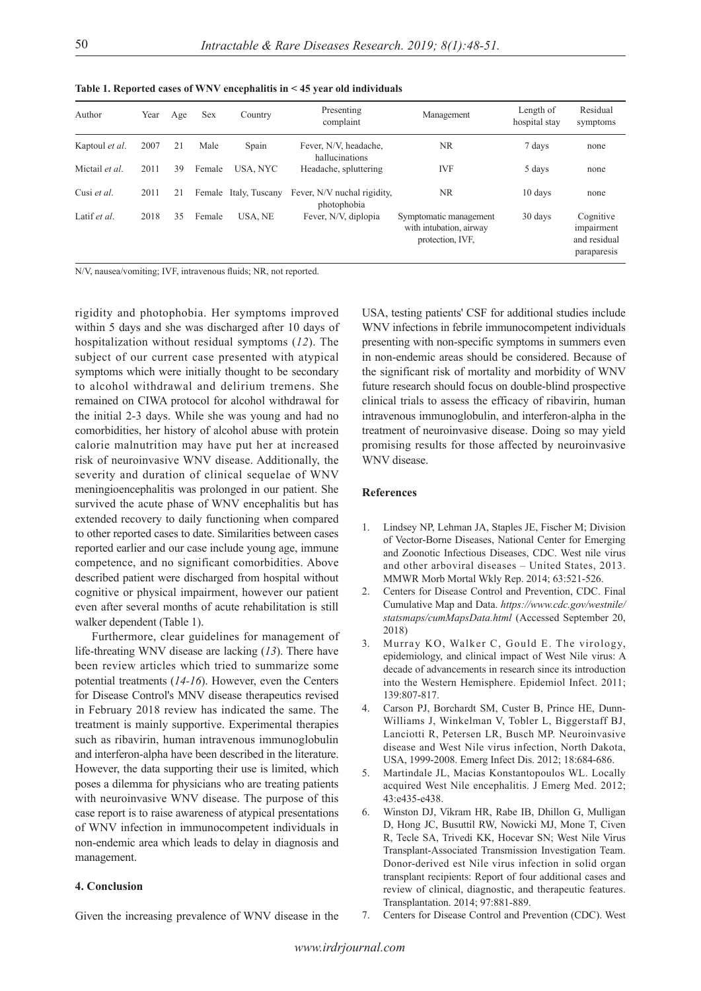| I<br>I<br>I<br>×<br>۰. | × | I<br>۰, |
|------------------------|---|---------|

| Author         | Year | Age | Sex    | Country               | Presenting<br>complaint                    | Management                                                            | Length of<br>hospital stay | Residual<br>symptoms                                   |
|----------------|------|-----|--------|-----------------------|--------------------------------------------|-----------------------------------------------------------------------|----------------------------|--------------------------------------------------------|
| Kaptoul et al. | 2007 | 21  | Male   | Spain                 | Fever, N/V, headache,<br>hallucinations    | <b>NR</b>                                                             | 7 days                     | none                                                   |
| Mictail et al. | 2011 | 39  | Female | USA, NYC              | Headache, spluttering                      | <b>IVF</b>                                                            | 5 days                     | none                                                   |
| Cusi et al.    | 2011 | 21  |        | Female Italy, Tuscany | Fever, N/V nuchal rigidity,<br>photophobia | NR.                                                                   | 10 days                    | none                                                   |
| Latif et al.   | 2018 | 35  | Female | USA, NE               | Fever, N/V, diplopia                       | Symptomatic management<br>with intubation, airway<br>protection, IVF. | 30 days                    | Cognitive<br>impairment<br>and residual<br>paraparesis |

N/V, nausea/vomiting; IVF, intravenous fluids; NR, not reported.

rigidity and photophobia. Her symptoms improved within 5 days and she was discharged after 10 days of hospitalization without residual symptoms (*12*). The subject of our current case presented with atypical symptoms which were initially thought to be secondary to alcohol withdrawal and delirium tremens. She remained on CIWA protocol for alcohol withdrawal for the initial 2-3 days. While she was young and had no comorbidities, her history of alcohol abuse with protein calorie malnutrition may have put her at increased risk of neuroinvasive WNV disease. Additionally, the severity and duration of clinical sequelae of WNV meningioencephalitis was prolonged in our patient. She survived the acute phase of WNV encephalitis but has extended recovery to daily functioning when compared to other reported cases to date. Similarities between cases reported earlier and our case include young age, immune competence, and no significant comorbidities. Above described patient were discharged from hospital without cognitive or physical impairment, however our patient even after several months of acute rehabilitation is still walker dependent (Table 1).

Furthermore, clear guidelines for management of life-threating WNV disease are lacking (*13*). There have been review articles which tried to summarize some potential treatments (*14-16*). However, even the Centers for Disease Control's MNV disease therapeutics revised in February 2018 review has indicated the same. The treatment is mainly supportive. Experimental therapies such as ribavirin, human intravenous immunoglobulin and interferon-alpha have been described in the literature. However, the data supporting their use is limited, which poses a dilemma for physicians who are treating patients with neuroinvasive WNV disease. The purpose of this case report is to raise awareness of atypical presentations of WNV infection in immunocompetent individuals in non-endemic area which leads to delay in diagnosis and management.

### **4. Conclusion**

Given the increasing prevalence of WNV disease in the

USA, testing patients' CSF for additional studies include WNV infections in febrile immunocompetent individuals presenting with non-specific symptoms in summers even in non-endemic areas should be considered. Because of the significant risk of mortality and morbidity of WNV future research should focus on double-blind prospective clinical trials to assess the efficacy of ribavirin, human intravenous immunoglobulin, and interferon-alpha in the treatment of neuroinvasive disease. Doing so may yield promising results for those affected by neuroinvasive WNV disease.

### **References**

- 1. Lindsey NP, Lehman JA, Staples JE, Fischer M; Division of Vector-Borne Diseases, National Center for Emerging and Zoonotic Infectious Diseases, CDC. West nile virus and other arboviral diseases – United States, 2013. MMWR Morb Mortal Wkly Rep. 2014; 63:521-526.
- 2. Centers for Disease Control and Prevention, CDC. Final Cumulative Map and Data. *https://www.cdc.gov/westnile/ statsmaps/cumMapsData.html* (Accessed September 20, 2018)
- 3. Murray KO, Walker C, Gould E. The virology, epidemiology, and clinical impact of West Nile virus: A decade of advancements in research since its introduction into the Western Hemisphere. Epidemiol Infect. 2011; 139:807-817.
- 4. Carson PJ, Borchardt SM, Custer B, Prince HE, Dunn-Williams J, Winkelman V, Tobler L, Biggerstaff BJ, Lanciotti R, Petersen LR, Busch MP. Neuroinvasive disease and West Nile virus infection, North Dakota, USA, 1999-2008. Emerg Infect Dis. 2012; 18:684-686.
- 5. Martindale JL, Macias Konstantopoulos WL. Locally acquired West Nile encephalitis. J Emerg Med. 2012; 43:e435-e438.
- 6. Winston DJ, Vikram HR, Rabe IB, Dhillon G, Mulligan D, Hong JC, Busuttil RW, Nowicki MJ, Mone T, Civen R, Tecle SA, Trivedi KK, Hocevar SN; West Nile Virus Transplant-Associated Transmission Investigation Team. Donor-derived est Nile virus infection in solid organ transplant recipients: Report of four additional cases and review of clinical, diagnostic, and therapeutic features. Transplantation. 2014; 97:881-889.
- 7. Centers for Disease Control and Prevention (CDC). West